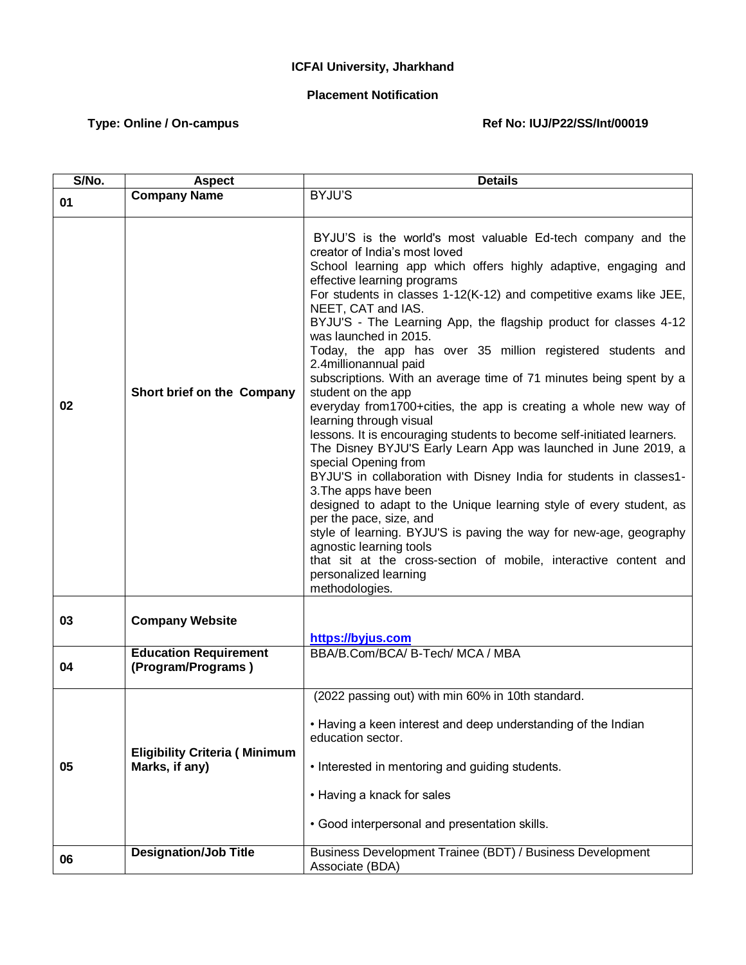## **ICFAI University, Jharkhand**

## **Placement Notification**

## Type: Online / On-campus **Ref No: IUJ/P22/SS/Int/00019**

| S/No. | <b>Aspect</b>                                          | <b>Details</b>                                                                                                                                                                                                                                                                                                                                                                                                                                                                                                                                                                                                                                                                                                                                                                                                                                                                                                                                                                                                                                                                                                                                                                                                                                                  |
|-------|--------------------------------------------------------|-----------------------------------------------------------------------------------------------------------------------------------------------------------------------------------------------------------------------------------------------------------------------------------------------------------------------------------------------------------------------------------------------------------------------------------------------------------------------------------------------------------------------------------------------------------------------------------------------------------------------------------------------------------------------------------------------------------------------------------------------------------------------------------------------------------------------------------------------------------------------------------------------------------------------------------------------------------------------------------------------------------------------------------------------------------------------------------------------------------------------------------------------------------------------------------------------------------------------------------------------------------------|
| 01    | <b>Company Name</b>                                    | BYJU'S                                                                                                                                                                                                                                                                                                                                                                                                                                                                                                                                                                                                                                                                                                                                                                                                                                                                                                                                                                                                                                                                                                                                                                                                                                                          |
| 02    | Short brief on the Company                             | BYJU'S is the world's most valuable Ed-tech company and the<br>creator of India's most loved<br>School learning app which offers highly adaptive, engaging and<br>effective learning programs<br>For students in classes 1-12(K-12) and competitive exams like JEE,<br>NEET, CAT and IAS.<br>BYJU'S - The Learning App, the flagship product for classes 4-12<br>was launched in 2015.<br>Today, the app has over 35 million registered students and<br>2.4millionannual paid<br>subscriptions. With an average time of 71 minutes being spent by a<br>student on the app<br>everyday from 1700+cities, the app is creating a whole new way of<br>learning through visual<br>lessons. It is encouraging students to become self-initiated learners.<br>The Disney BYJU'S Early Learn App was launched in June 2019, a<br>special Opening from<br>BYJU'S in collaboration with Disney India for students in classes1-<br>3. The apps have been<br>designed to adapt to the Unique learning style of every student, as<br>per the pace, size, and<br>style of learning. BYJU'S is paving the way for new-age, geography<br>agnostic learning tools<br>that sit at the cross-section of mobile, interactive content and<br>personalized learning<br>methodologies. |
| 03    | <b>Company Website</b>                                 | https://byjus.com                                                                                                                                                                                                                                                                                                                                                                                                                                                                                                                                                                                                                                                                                                                                                                                                                                                                                                                                                                                                                                                                                                                                                                                                                                               |
| 04    | <b>Education Requirement</b><br>(Program/Programs)     | BBA/B.Com/BCA/ B-Tech/ MCA / MBA                                                                                                                                                                                                                                                                                                                                                                                                                                                                                                                                                                                                                                                                                                                                                                                                                                                                                                                                                                                                                                                                                                                                                                                                                                |
| 05    | <b>Eligibility Criteria (Minimum</b><br>Marks, if any) | (2022 passing out) with min 60% in 10th standard.<br>• Having a keen interest and deep understanding of the Indian<br>education sector.<br>• Interested in mentoring and guiding students.<br>• Having a knack for sales<br>· Good interpersonal and presentation skills.                                                                                                                                                                                                                                                                                                                                                                                                                                                                                                                                                                                                                                                                                                                                                                                                                                                                                                                                                                                       |
| 06    | <b>Designation/Job Title</b>                           | Business Development Trainee (BDT) / Business Development<br>Associate (BDA)                                                                                                                                                                                                                                                                                                                                                                                                                                                                                                                                                                                                                                                                                                                                                                                                                                                                                                                                                                                                                                                                                                                                                                                    |